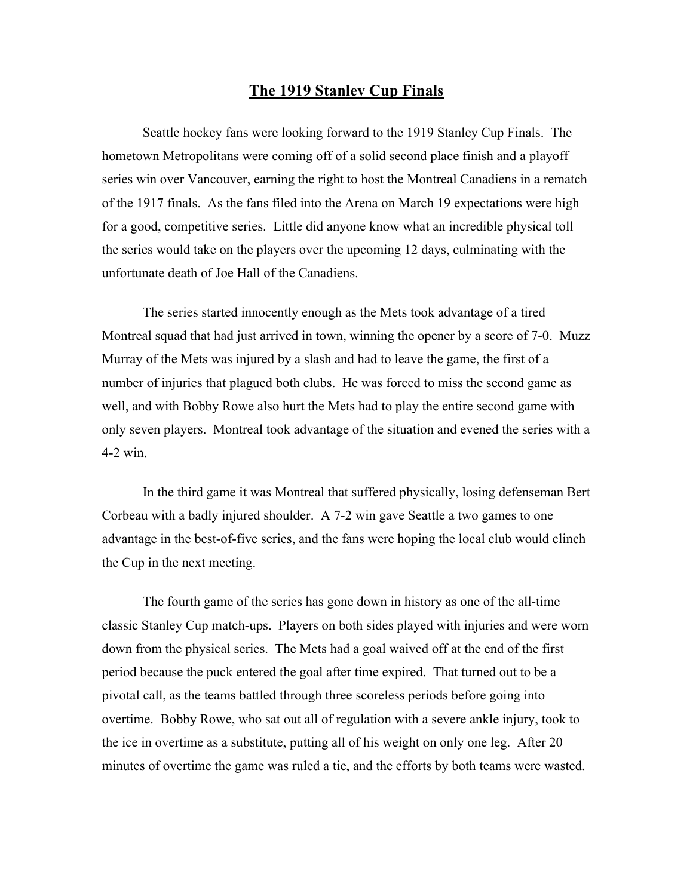## **The 1919 Stanley Cup Finals**

Seattle hockey fans were looking forward to the 1919 Stanley Cup Finals. The hometown Metropolitans were coming off of a solid second place finish and a playoff series win over Vancouver, earning the right to host the Montreal Canadiens in a rematch of the 1917 finals. As the fans filed into the Arena on March 19 expectations were high for a good, competitive series. Little did anyone know what an incredible physical toll the series would take on the players over the upcoming 12 days, culminating with the unfortunate death of Joe Hall of the Canadiens.

The series started innocently enough as the Mets took advantage of a tired Montreal squad that had just arrived in town, winning the opener by a score of 7-0. Muzz Murray of the Mets was injured by a slash and had to leave the game, the first of a number of injuries that plagued both clubs. He was forced to miss the second game as well, and with Bobby Rowe also hurt the Mets had to play the entire second game with only seven players. Montreal took advantage of the situation and evened the series with a 4-2 win.

In the third game it was Montreal that suffered physically, losing defenseman Bert Corbeau with a badly injured shoulder. A 7-2 win gave Seattle a two games to one advantage in the best-of-five series, and the fans were hoping the local club would clinch the Cup in the next meeting.

The fourth game of the series has gone down in history as one of the all-time classic Stanley Cup match-ups. Players on both sides played with injuries and were worn down from the physical series. The Mets had a goal waived off at the end of the first period because the puck entered the goal after time expired. That turned out to be a pivotal call, as the teams battled through three scoreless periods before going into overtime. Bobby Rowe, who sat out all of regulation with a severe ankle injury, took to the ice in overtime as a substitute, putting all of his weight on only one leg. After 20 minutes of overtime the game was ruled a tie, and the efforts by both teams were wasted.